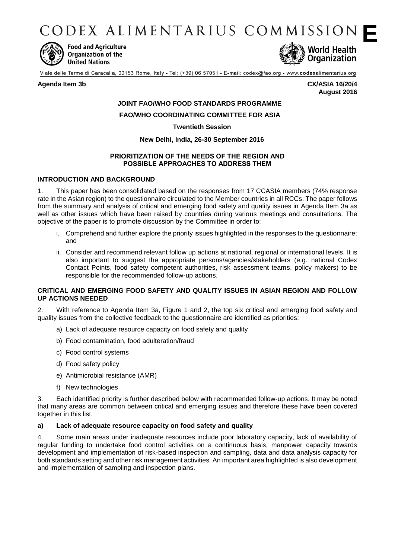CODEX ALIMENTARIUS COMMISSION



**Food and Agriculture** Organization of the **United Nations** 



Viale delle Terme di Caracalla, 00153 Rome, Italy - Tel: (+39) 06 57051 - E-mail: codex@fao.org - www.codexalimentarius.org

#### **Agenda Item 3b CX/ASIA 16/20/4**

**August 2016**

# **JOINT FAO/WHO FOOD STANDARDS PROGRAMME**

#### **FAO/WHO COORDINATING COMMITTEE FOR ASIA**

#### **Twentieth Session**

#### **New Delhi, India, 26-30 September 2016**

#### **PRIORITIZATION OF THE NEEDS OF THE REGION AND POSSIBLE APPROACHES TO ADDRESS THEM**

#### **INTRODUCTION AND BACKGROUND**

1. This paper has been consolidated based on the responses from 17 CCASIA members (74% response rate in the Asian region) to the questionnaire circulated to the Member countries in all RCCs. The paper follows from the summary and analysis of critical and emerging food safety and quality issues in Agenda Item 3a as well as other issues which have been raised by countries during various meetings and consultations. The objective of the paper is to promote discussion by the Committee in order to:

- i. Comprehend and further explore the priority issues highlighted in the responses to the questionnaire; and
- ii. Consider and recommend relevant follow up actions at national, regional or international levels. It is also important to suggest the appropriate persons/agencies/stakeholders (e.g. national Codex Contact Points, food safety competent authorities, risk assessment teams, policy makers) to be responsible for the recommended follow-up actions.

#### **CRITICAL AND EMERGING FOOD SAFETY AND QUALITY ISSUES IN ASIAN REGION AND FOLLOW UP ACTIONS NEEDED**

2. With reference to Agenda Item 3a, Figure 1 and 2, the top six critical and emerging food safety and quality issues from the collective feedback to the questionnaire are identified as priorities:

- a) Lack of adequate resource capacity on food safety and quality
- b) Food contamination, food adulteration/fraud
- c) Food control systems
- d) Food safety policy
- e) Antimicrobial resistance (AMR)
- f) New technologies

3. Each identified priority is further described below with recommended follow-up actions. It may be noted that many areas are common between critical and emerging issues and therefore these have been covered together in this list.

#### **a) Lack of adequate resource capacity on food safety and quality**

4. Some main areas under inadequate resources include poor laboratory capacity, lack of availability of regular funding to undertake food control activities on a continuous basis, manpower capacity towards development and implementation of risk-based inspection and sampling, data and data analysis capacity for both standards setting and other risk management activities. An important area highlighted is also development and implementation of sampling and inspection plans.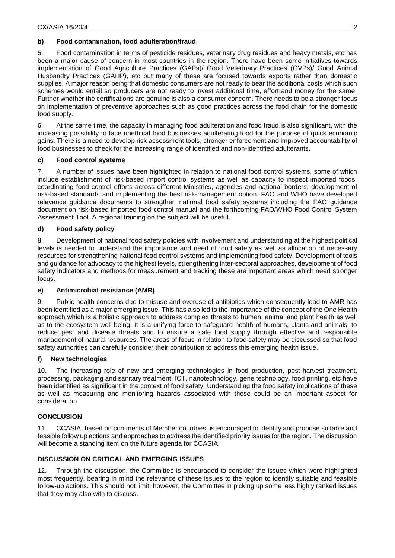### **b) Food contamination, food adulteration/fraud**

5. Food contamination in terms of pesticide residues, veterinary drug residues and heavy metals, etc has been a major cause of concern in most countries in the region. There have been some initiatives towards implementation of Good Agriculture Practices (GAPs)/ Good Veterinary Practices (GVPs)/ Good Animal Husbandry Practices (GAHP), etc but many of these are focused towards exports rather than domestic supplies. A major reason being that domestic consumers are not ready to bear the additional costs which such schemes would entail so producers are not ready to invest additional time, effort and money for the same. Further whether the certifications are genuine is also a consumer concern. There needs to be a stronger focus on implementation of preventive approaches such as good practices across the food chain for the domestic food supply.

6. At the same time, the capacity in managing food adulteration and food fraud is also significant, with the increasing possibility to face unethical food businesses adulterating food for the purpose of quick economic gains. There is a need to develop risk assessment tools, stronger enforcement and improved accountability of food businesses to check for the increasing range of identified and non-identified adulterants.

### **c) Food control systems**

7. A number of issues have been highlighted in relation to national food control systems, some of which include establishment of risk-based import control systems as well as capacity to inspect imported foods, coordinating food control efforts across different Ministries, agencies and national borders, development of risk-based standards and implementing the best risk-management option. FAO and WHO have developed relevance guidance documents to strengthen national food safety systems including the FAO guidance document on risk-based imported food control manual and the forthcoming FAO/WHO Food Control System Assessment Tool. A regional training on the subject will be useful.

## **d) Food safety policy**

8. Development of national food safety policies with involvement and understanding at the highest political levels is needed to understand the importance and need of food safety as well as allocation of necessary resources for strengthening national food control systems and implementing food safety. Development of tools and guidance for advocacy to the highest levels, strengthening inter-sectoral approaches, development of food safety indicators and methods for measurement and tracking these are important areas which need stronger focus.

### **e) Antimicrobial resistance (AMR)**

9. Public health concerns due to misuse and overuse of antibiotics which consequently lead to AMR has been identified as a major emerging issue. This has also led to the importance of the concept of the One Health approach which is a holistic approach to address complex threats to human, animal and plant health as well as to the ecosystem well-being. It is a unifying force to safeguard health of humans, plants and animals, to reduce pest and disease threats and to ensure a safe food supply through effective and responsible management of natural resources. The areas of focus in relation to food safety may be discussed so that food safety authorities can carefully consider their contribution to address this emerging health issue.

### **f) New technologies**

10. The increasing role of new and emerging technologies in food production, post-harvest treatment, processing, packaging and sanitary treatment, ICT, nanotechnology, gene technology, food printing, etc have been identified as significant in the context of food safety. Understanding the food safety implications of these as well as measuring and monitoring hazards associated with these could be an important aspect for consideration

### **CONCLUSION**

11. CCASIA, based on comments of Member countries, is encouraged to identify and propose suitable and feasible follow up actions and approaches to address the identified priority issues for the region. The discussion will become a standing item on the future agenda for CCASIA.

### **DISCUSSION ON CRITICAL AND EMERGING ISSUES**

12. Through the discussion, the Committee is encouraged to consider the issues which were highlighted most frequently, bearing in mind the relevance of these issues to the region to identify suitable and feasible follow-up actions. This should not limit, however, the Committee in picking up some less highly ranked issues that they may also with to discuss.